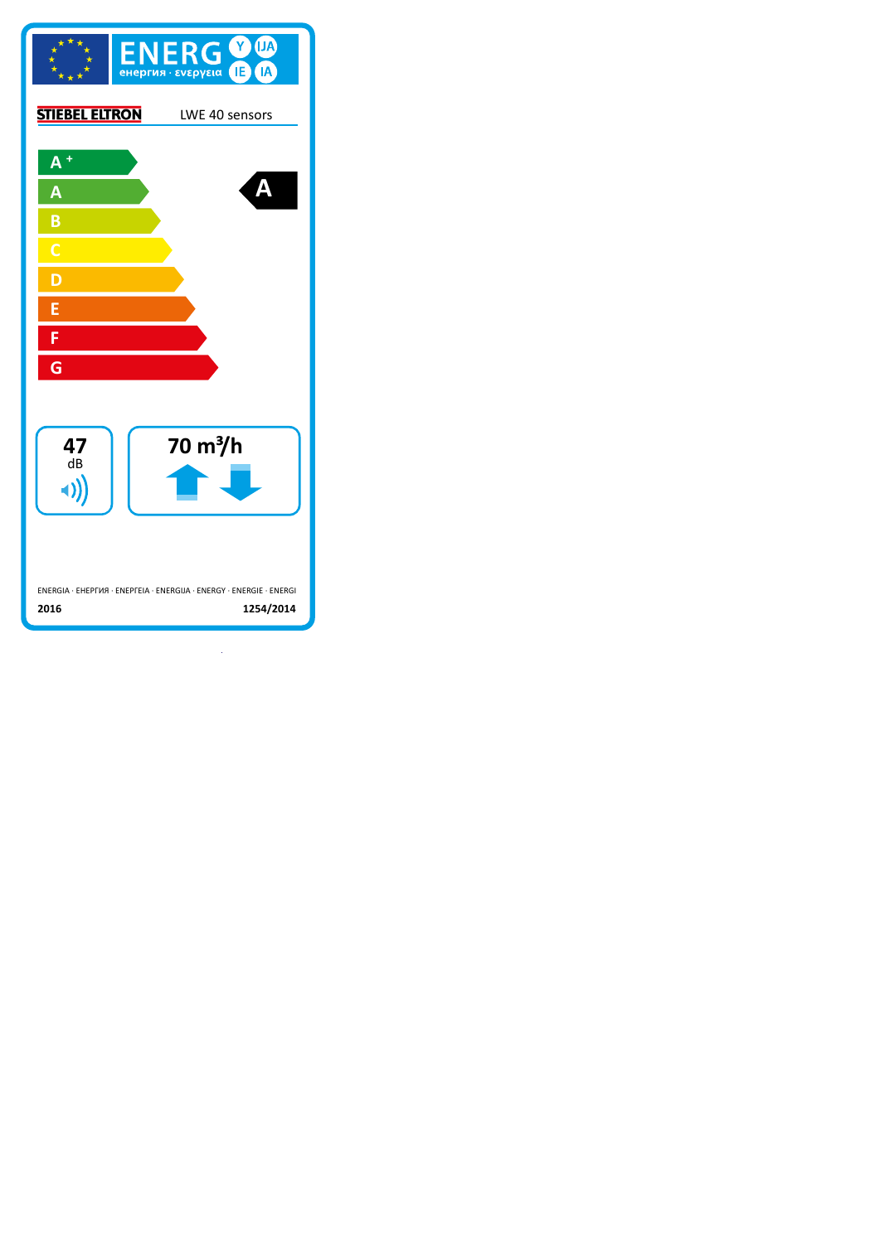